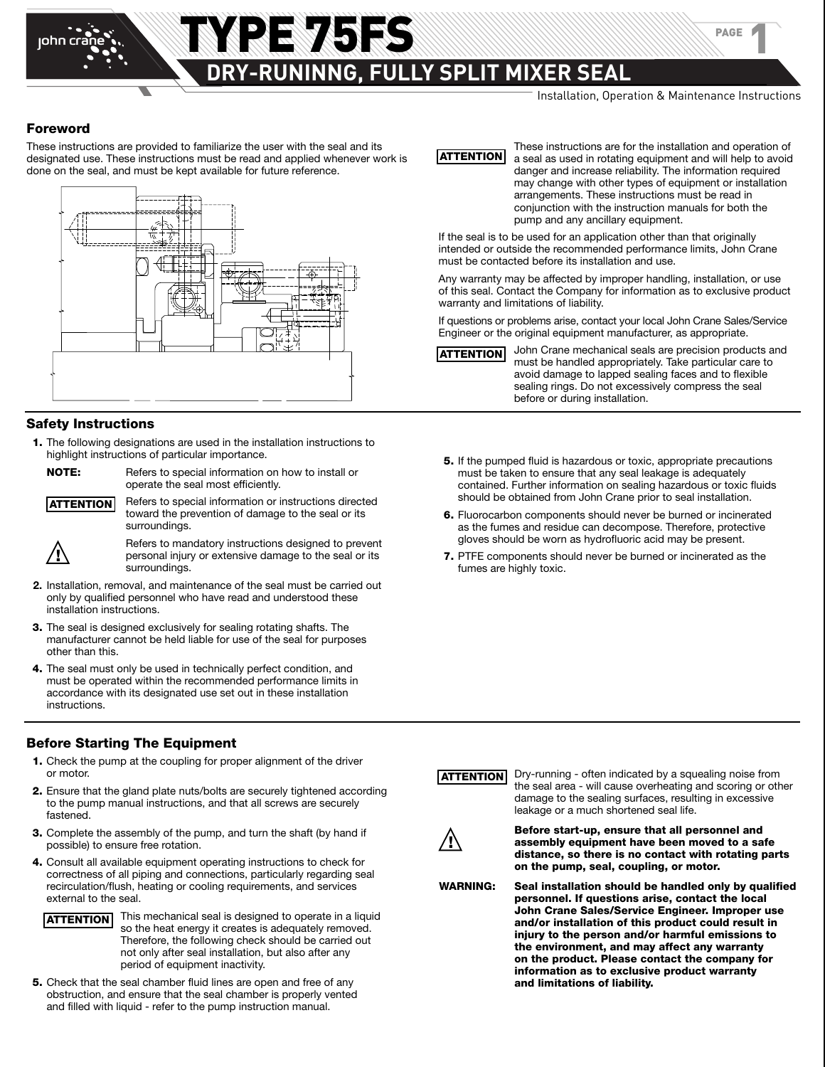

Installation, Operation & Maintenance Instructions

#### **Foreword**

These instructions are provided to familiarize the user with the seal and its designated use. These instructions must be read and applied whenever work is done on the seal, and must be kept available for future reference.



#### **Safety Instructions**

 **1.** The following designations are used in the installation instructions to highlight instructions of particular importance.



**NOTE:** Refers to special information on how to install or operate the seal most efficiently.



 Refers to special information or instructions directed toward the prevention of damage to the seal or its surroundings.

**!**

 Refers to mandatory instructions designed to prevent personal injury or extensive damage to the seal or its surroundings.

- **2.** Installation, removal, and maintenance of the seal must be carried out only by qualified personnel who have read and understood these installation instructions.
- **3.** The seal is designed exclusively for sealing rotating shafts. The manufacturer cannot be held liable for use of the seal for purposes other than this.
- **4.** The seal must only be used in technically perfect condition, and must be operated within the recommended performance limits in accordance with its designated use set out in these installation instructions.

### **Before Starting The Equipment**

- **1.** Check the pump at the coupling for proper alignment of the driver or motor.
- **2.** Ensure that the gland plate nuts/bolts are securely tightened according to the pump manual instructions, and that all screws are securely fastened.
- **3.** Complete the assembly of the pump, and turn the shaft (by hand if possible) to ensure free rotation.
- **4.** Consult all available equipment operating instructions to check for correctness of all piping and connections, particularly regarding seal recirculation/flush, heating or cooling requirements, and services external to the seal.



 This mechanical seal is designed to operate in a liquid so the heat energy it creates is adequately removed. Therefore, the following check should be carried out not only after seal installation, but also after any period of equipment inactivity.

 **5.** Check that the seal chamber fluid lines are open and free of any obstruction, and ensure that the seal chamber is properly vented and filled with liquid - refer to the pump instruction manual.



These instructions are for the installation and operation of a seal as used in rotating equipment and will help to avoid danger and increase reliability. The information required may change with other types of equipment or installation arrangements. These instructions must be read in conjunction with the instruction manuals for both the pump and any ancillary equipment.

If the seal is to be used for an application other than that originally intended or outside the recommended performance limits, John Crane must be contacted before its installation and use.

Any warranty may be affected by improper handling, installation, or use of this seal. Contact the Company for information as to exclusive product warranty and limitations of liability.

If questions or problems arise, contact your local John Crane Sales/Service Engineer or the original equipment manufacturer, as appropriate.

John Crane mechanical seals are precision products and must be handled appropriately. Take particular care to avoid damage to lapped sealing faces and to flexible sealing rings. Do not excessively compress the seal before or during installation. **ATTENTION**

- **5.** If the pumped fluid is hazardous or toxic, appropriate precautions must be taken to ensure that any seal leakage is adequately contained. Further information on sealing hazardous or toxic fluids should be obtained from John Crane prior to seal installation.
- **6.** Fluorocarbon components should never be burned or incinerated as the fumes and residue can decompose. Therefore, protective gloves should be worn as hydrofluoric acid may be present.
- **7.** PTFE components should never be burned or incinerated as the fumes are highly toxic.



Dry-running - often indicated by a squealing noise from the seal area - will cause overheating and scoring or other damage to the sealing surfaces, resulting in excessive leakage or a much shortened seal life.



**Before start-up, ensure that all personnel and assembly equipment have been moved to a safe distance, so there is no contact with rotating parts on the pump, seal, coupling, or motor.**

**WARNING: Seal installation should be handled only by qualified personnel. If questions arise, contact the local John Crane Sales/Service Engineer. Improper use and/or installation of this product could result in injury to the person and/or harmful emissions to the environment, and may affect any warranty on the product. Please contact the company for information as to exclusive product warranty and limitations of liability.**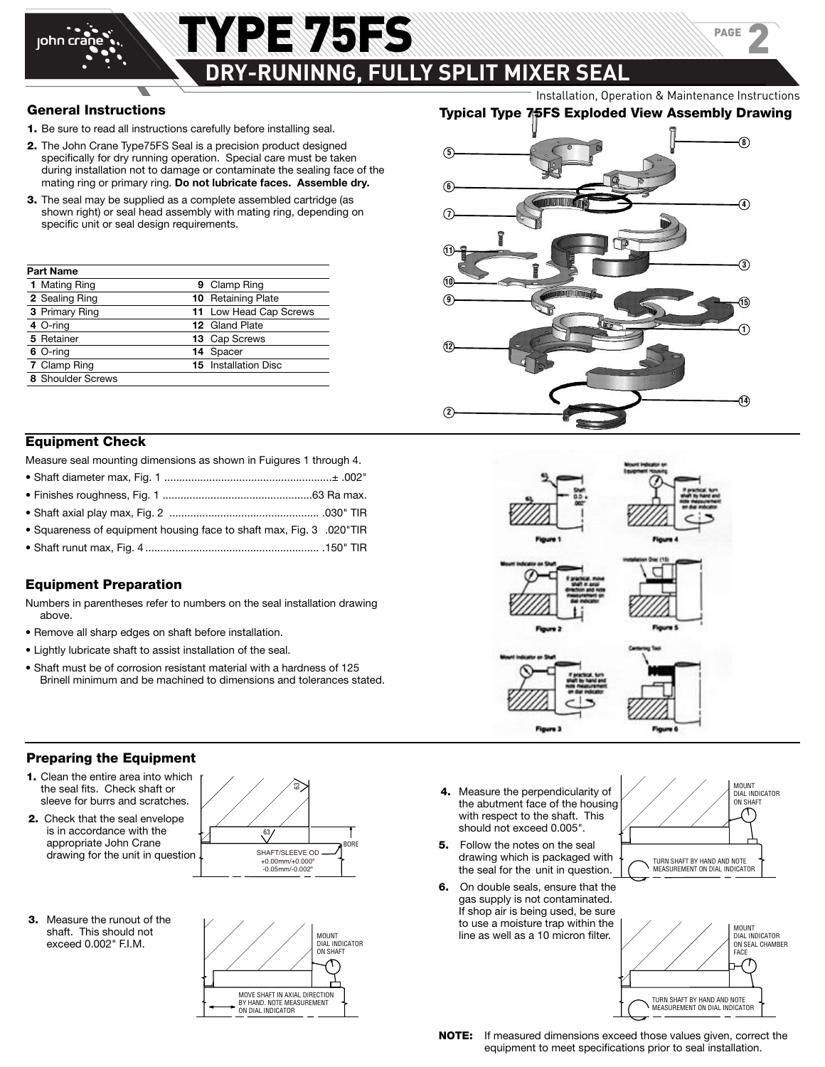

# YPE 75FS **DRY-RUNINNG, FULLY SPLIT MIXER SEAL**

Installation, Operation & Maintenance Instructions

PAGE

2

#### **General Instructions**

- **1.** Be sure to read all instructions carefully before installing seal.
- **2.** The John Crane Type75FS Seal is a precision product designed specifically for dry running operation. Special care must be taken during installation not to damage or contaminate the sealing face of the mating ring or primary ring. **Do not lubricate faces. Assemble dry.**
- **3.** The seal may be supplied as a complete assembled cartridge (as shown right) or seal head assembly with mating ring, depending on specific unit or seal design requirements.

| Part Name         |                             |
|-------------------|-----------------------------|
| 1 Mating Ring     | 9 Clamp Ring                |
| 2 Sealing Ring    | 10 Retaining Plate          |
| 3 Primary Ring    | 11 Low Head Cap Screws      |
| 4 O-ring          | 12 Gland Plate              |
| 5 Retainer        | 13 Cap Screws               |
| 6 O-ring          | 14 Spacer                   |
| 7 Clamp Ring      | <b>15</b> Installation Disc |
| 8 Shoulder Screws |                             |

#### **Equipment Check**

Measure seal mounting dimensions as shown in Fuigures 1 through 4.

- Shaft diameter max, Fig. 1 ........................................................± .002"
- Finishes roughness, Fig. 1 ..................................................63 Ra max.
- Shaft axial play max, Fig. 2 .................................................. .030" TIR
- Squareness of equipment housing face to shaft max, Fig. 3 .020"TIR
- Shaft runut max, Fig. 4 .......................................................... .150" TIR

### **Equipment Preparation**

Numbers in parentheses refer to numbers on the seal installation drawing above.

- Remove all sharp edges on shaft before installation.
- Lightly lubricate shaft to assist installation of the seal.
- Shaft must be of corrosion resistant material with a hardness of 125 Brinell minimum and be machined to dimensions and tolerances stated.

#### **Preparing the Equipment**

- **1.** Clean the entire area into which the seal fits. Check shaft or sleeve for burrs and scratches.
- **2.** Check that the seal envelope is in accordance with the appropriate John Crane drawing for the unit in question
- **3.** Measure the runout of the shaft. This should not exceed 0.002" F.I.M.









- **4.** Measure the perpendicularity of the abutment face of the housing with respect to the shaft. This should not exceed 0.005".
- **5.** Follow the notes on the seal drawing which is packaged with the seal for the unit in question.
- **6.** On double seals, ensure that the gas supply is not contaminated. If shop air is being used, be sure to use a moisture trap within the line as well as a 10 micron filter.



TURN SHAFT BY HAND AND NOTE MEASUREMENT ON DIAL INDICATOR

**NOTE:** If measured dimensions exceed those values given, correct the equipment to meet specifications prior to seal installation.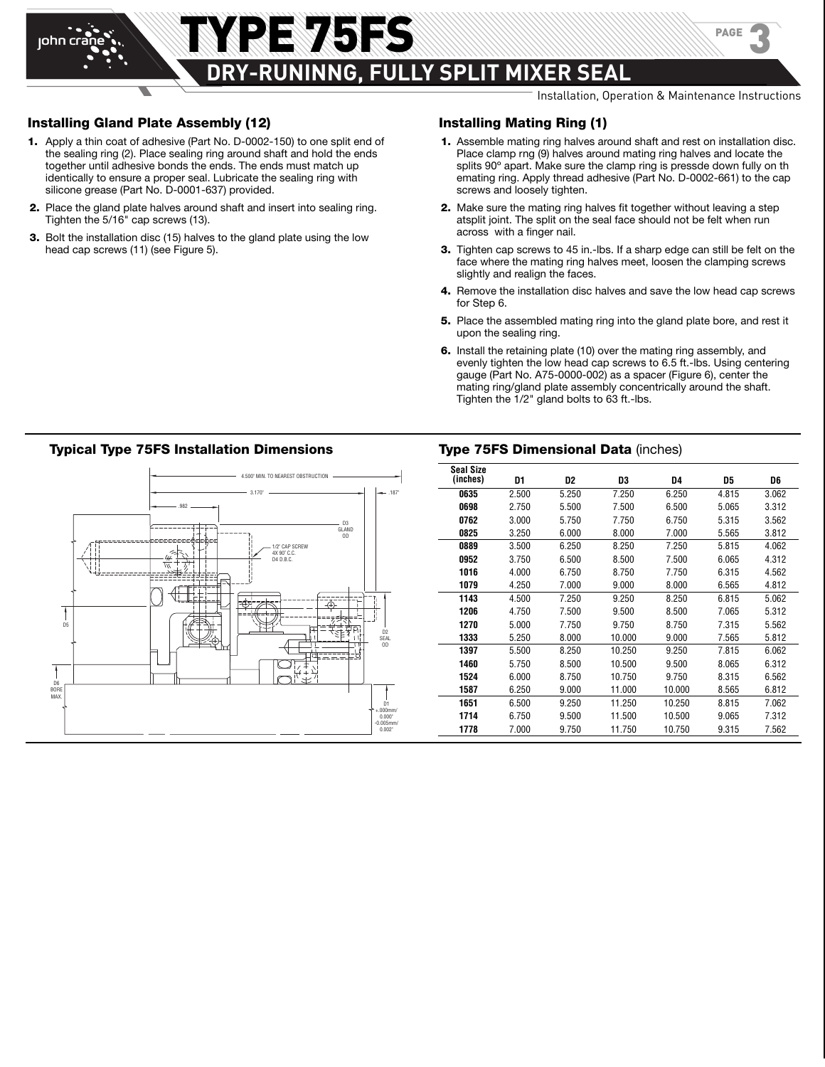



**DRY-RUNINING, FULLY OF EXTRIGHT SEAL**<br>Installation, Operation & Maintenance Instructions

PAGE

3

#### **Installing Gland Plate Assembly (12)**

**1.** Apply a thin coat of adhesive (Part No. D-0002-150) to one split end of the sealing ring (2). Place sealing ring around shaft and hold the ends together until adhesive bonds the ends. The ends must match up identically to ensure a proper seal. Lubricate the sealing ring with silicone grease (Part No. D-0001-637) provided.

EY 5

- **2.** Place the gland plate halves around shaft and insert into sealing ring. Tighten the 5/16" cap screws (13).
- **3.** Bolt the installation disc (15) halves to the gland plate using the low head cap screws (11) (see Figure 5).

#### **Installing Mating Ring (1)**

- **1.** Assemble mating ring halves around shaft and rest on installation disc. Place clamp rng (9) halves around mating ring halves and locate the splits 90º apart. Make sure the clamp ring is pressde down fully on th emating ring. Apply thread adhesive (Part No. D-0002-661) to the cap screws and loosely tighten.
- **2.** Make sure the mating ring halves fit together without leaving a step atsplit joint. The split on the seal face should not be felt when run across with a finger nail.
- **3.** Tighten cap screws to 45 in.-lbs. If a sharp edge can still be felt on the face where the mating ring halves meet, loosen the clamping screws slightly and realign the faces.
- **4.** Remove the installation disc halves and save the low head cap screws for Step 6.
- **5.** Place the assembled mating ring into the gland plate bore, and rest it upon the sealing ring.
- **6.** Install the retaining plate (10) over the mating ring assembly, and evenly tighten the low head cap screws to 6.5 ft.-lbs. Using centering gauge (Part No. A75-0000-002) as a spacer (Figure 6), center the mating ring/gland plate assembly concentrically around the shaft. Tighten the 1/2" gland bolts to 63 ft.-lbs.

#### **Typical Type 75FS Installation Dimensions Type 75FS Dimensional Data** (inches)



| <b>Seal Size</b> |       |       |        |        |       |       |
|------------------|-------|-------|--------|--------|-------|-------|
| (inches)         | D1    | D2    | D3     | D4     | D5    | D6    |
| 0635             | 2.500 | 5.250 | 7.250  | 6.250  | 4.815 | 3.062 |
| 0698             | 2.750 | 5.500 | 7.500  | 6.500  | 5.065 | 3.312 |
| 0762             | 3.000 | 5.750 | 7.750  | 6.750  | 5.315 | 3.562 |
| 0825             | 3.250 | 6.000 | 8.000  | 7.000  | 5.565 | 3.812 |
| 0889             | 3.500 | 6.250 | 8.250  | 7.250  | 5.815 | 4.062 |
| 0952             | 3.750 | 6.500 | 8.500  | 7.500  | 6.065 | 4.312 |
| 1016             | 4.000 | 6.750 | 8.750  | 7.750  | 6.315 | 4.562 |
| 1079             | 4.250 | 7.000 | 9.000  | 8.000  | 6.565 | 4.812 |
| 1143             | 4.500 | 7.250 | 9.250  | 8.250  | 6.815 | 5.062 |
| 1206             | 4.750 | 7.500 | 9.500  | 8.500  | 7.065 | 5.312 |
| 1270             | 5.000 | 7.750 | 9.750  | 8.750  | 7.315 | 5.562 |
| 1333             | 5.250 | 8.000 | 10.000 | 9.000  | 7.565 | 5.812 |
| 1397             | 5.500 | 8.250 | 10.250 | 9.250  | 7.815 | 6.062 |
| 1460             | 5.750 | 8.500 | 10.500 | 9.500  | 8.065 | 6.312 |
| 1524             | 6.000 | 8.750 | 10.750 | 9.750  | 8.315 | 6.562 |
| 1587             | 6.250 | 9.000 | 11.000 | 10.000 | 8.565 | 6.812 |
| 1651             | 6.500 | 9.250 | 11.250 | 10.250 | 8.815 | 7.062 |
| 1714             | 6.750 | 9.500 | 11.500 | 10.500 | 9.065 | 7.312 |
| 1778             | 7.000 | 9.750 | 11.750 | 10.750 | 9.315 | 7.562 |